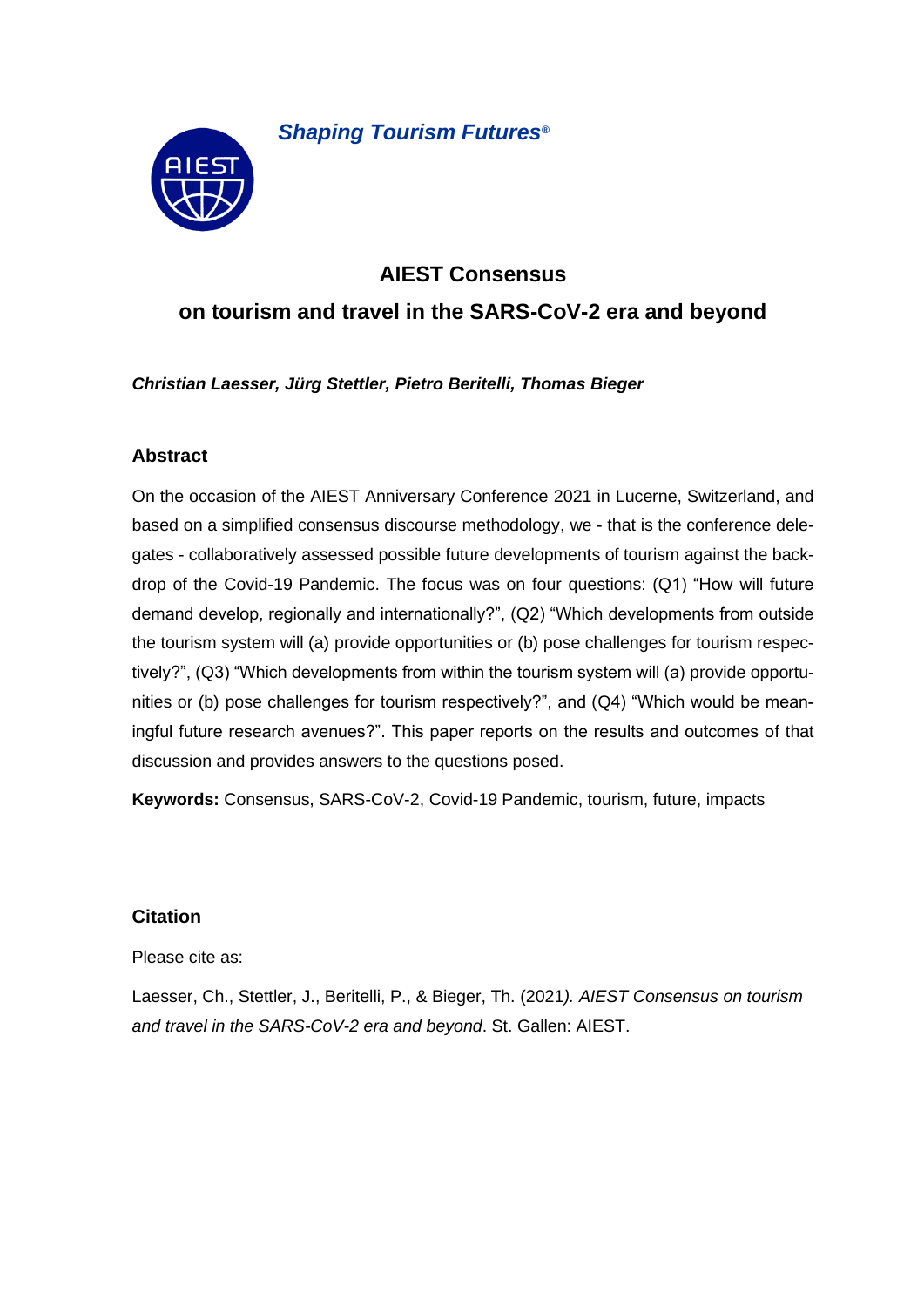

*Shaping Tourism Futures®*

# **AIEST Consensus**

# **on tourism and travel in the SARS-CoV-2 era and beyond**

*Christian Laesser, Jürg Stettler, Pietro Beritelli, Thomas Bieger*

### **Abstract**

On the occasion of the AIEST Anniversary Conference 2021 in Lucerne, Switzerland, and based on a simplified consensus discourse methodology, we - that is the conference delegates - collaboratively assessed possible future developments of tourism against the backdrop of the Covid-19 Pandemic. The focus was on four questions: (Q1) "How will future demand develop, regionally and internationally?", (Q2) "Which developments from outside the tourism system will (a) provide opportunities or (b) pose challenges for tourism respectively?", (Q3) "Which developments from within the tourism system will (a) provide opportunities or (b) pose challenges for tourism respectively?", and (Q4) "Which would be meaningful future research avenues?". This paper reports on the results and outcomes of that discussion and provides answers to the questions posed.

**Keywords:** Consensus, SARS-CoV-2, Covid-19 Pandemic, tourism, future, impacts

### **Citation**

Please cite as:

Laesser, Ch., Stettler, J., Beritelli, P., & Bieger, Th. (2021*). AIEST Consensus on tourism and travel in the SARS-CoV-2 era and beyond*. St. Gallen: AIEST.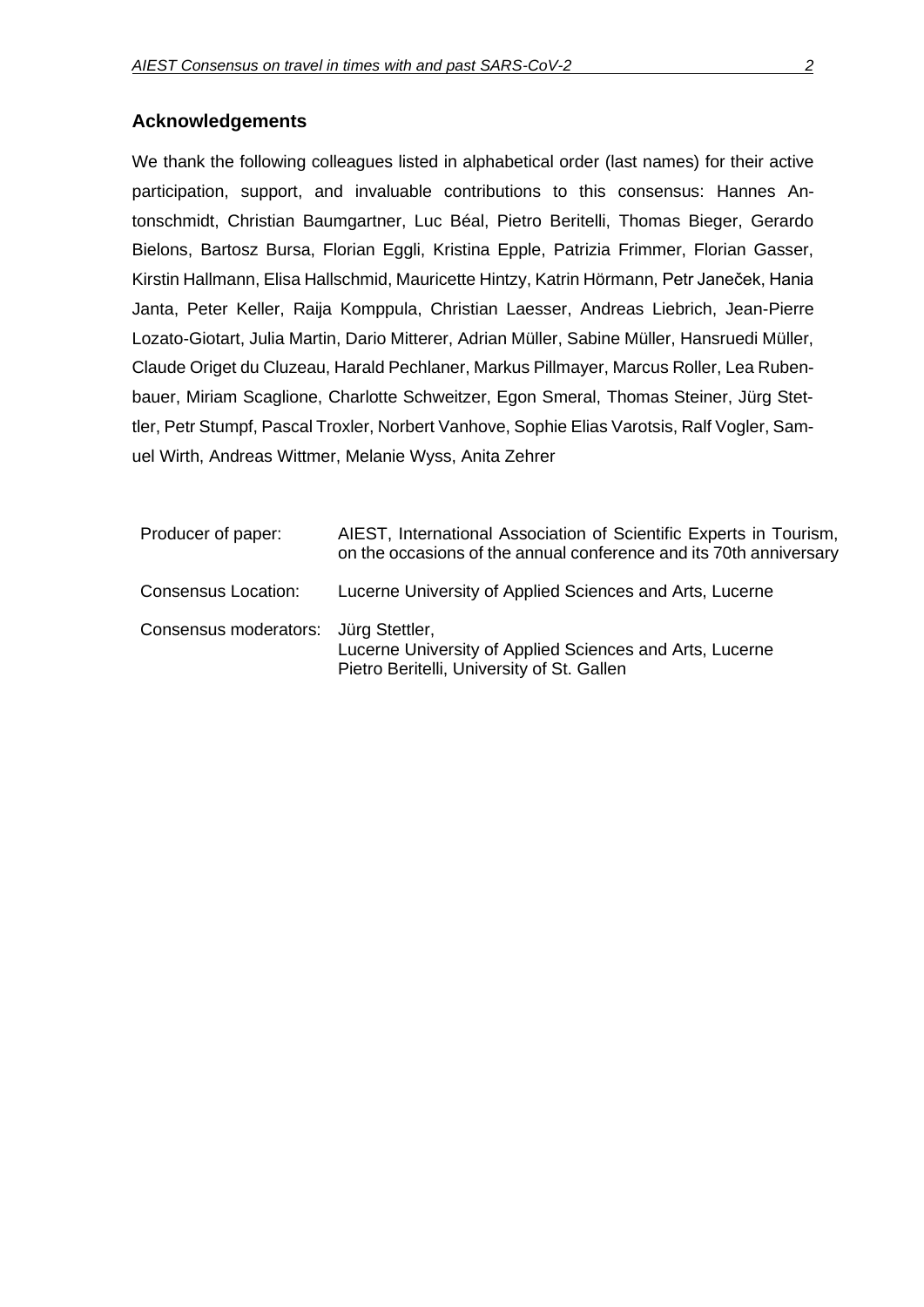### **Acknowledgements**

We thank the following colleagues listed in alphabetical order (last names) for their active participation, support, and invaluable contributions to this consensus: Hannes Antonschmidt, Christian Baumgartner, Luc Béal, Pietro Beritelli, Thomas Bieger, Gerardo Bielons, Bartosz Bursa, Florian Eggli, Kristina Epple, Patrizia Frimmer, Florian Gasser, Kirstin Hallmann, Elisa Hallschmid, Mauricette Hintzy, Katrin Hörmann, Petr Janeček, Hania Janta, Peter Keller, Raija Komppula, Christian Laesser, Andreas Liebrich, Jean-Pierre Lozato-Giotart, Julia Martin, Dario Mitterer, Adrian Müller, Sabine Müller, Hansruedi Müller, Claude Origet du Cluzeau, Harald Pechlaner, Markus Pillmayer, Marcus Roller, Lea Rubenbauer, Miriam Scaglione, Charlotte Schweitzer, Egon Smeral, Thomas Steiner, Jürg Stettler, Petr Stumpf, Pascal Troxler, Norbert Vanhove, Sophie Elias Varotsis, Ralf Vogler, Samuel Wirth, Andreas Wittmer, Melanie Wyss, Anita Zehrer

| Producer of paper:                   | AIEST, International Association of Scientific Experts in Tourism,<br>on the occasions of the annual conference and its 70th anniversary |
|--------------------------------------|------------------------------------------------------------------------------------------------------------------------------------------|
| <b>Consensus Location:</b>           | Lucerne University of Applied Sciences and Arts, Lucerne                                                                                 |
| Consensus moderators: Jürg Stettler, | Lucerne University of Applied Sciences and Arts, Lucerne<br>Pietro Beritelli, University of St. Gallen                                   |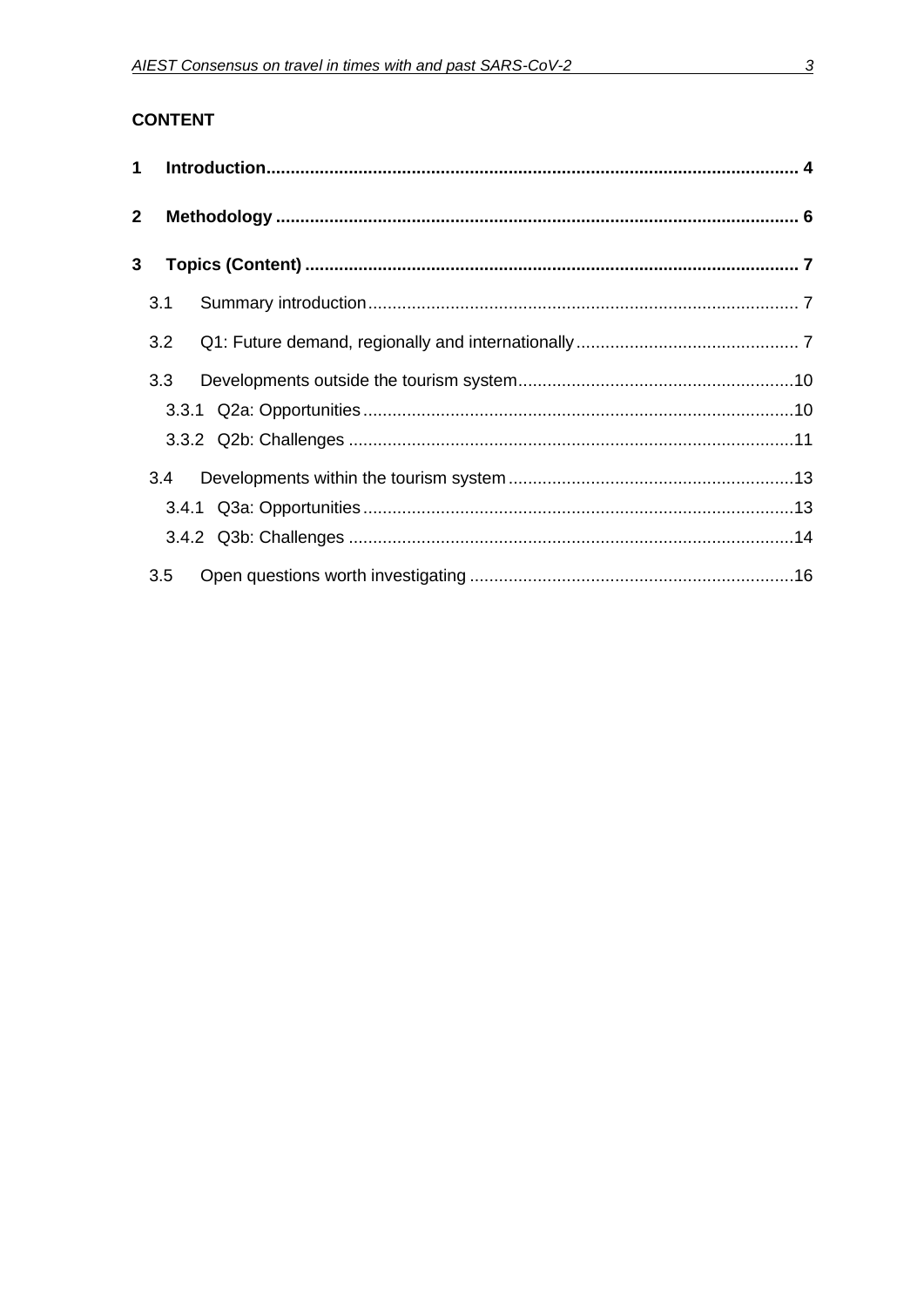| $\mathbf{2}$ |     |  |
|--------------|-----|--|
|              | 3   |  |
|              | 3.1 |  |
|              | 3.2 |  |
|              | 3.3 |  |
|              |     |  |
|              |     |  |
|              | 3.4 |  |
|              |     |  |
|              |     |  |
|              | 3.5 |  |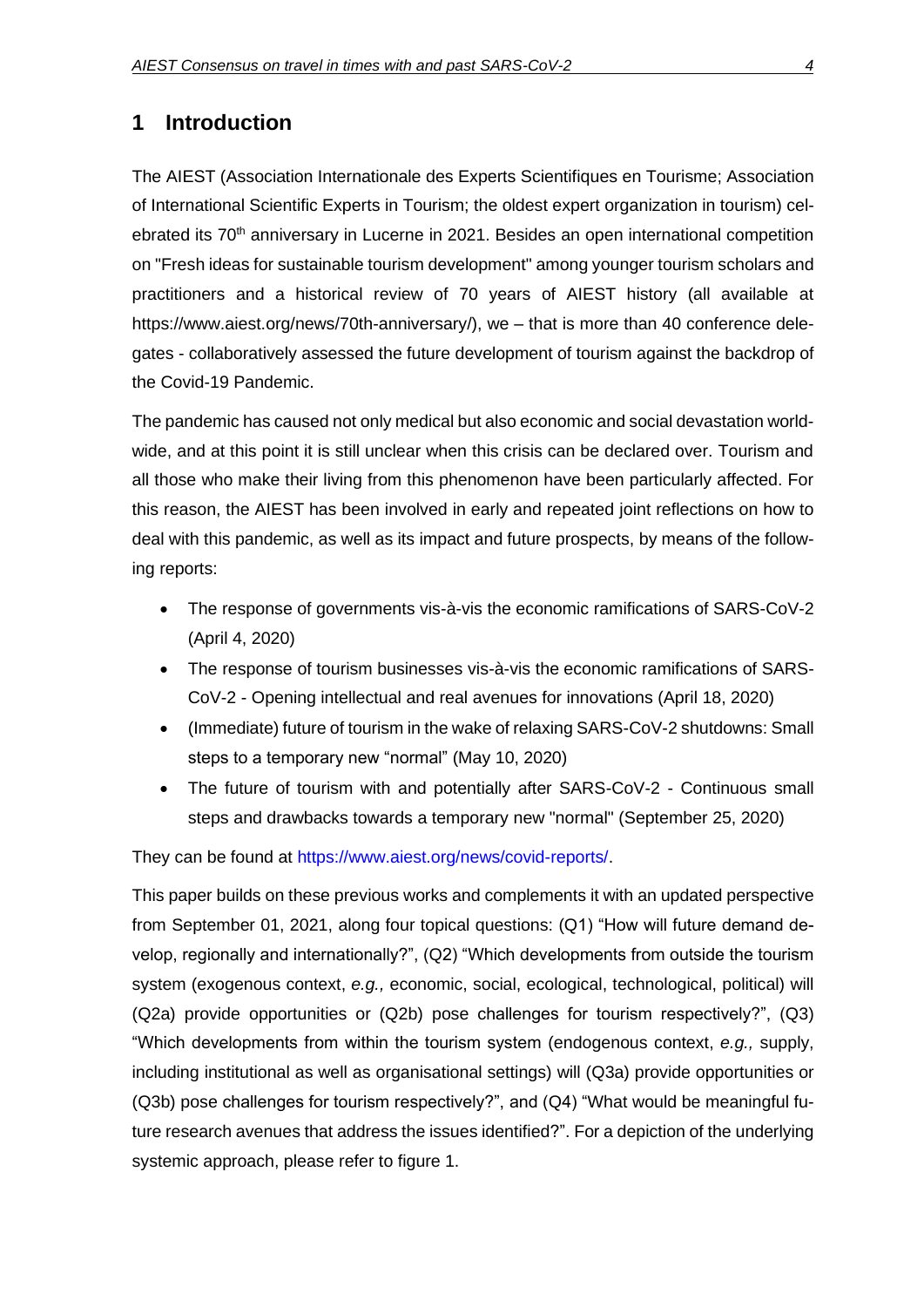### **1 Introduction**

The AIEST (Association Internationale des Experts Scientifiques en Tourisme; Association of International Scientific Experts in Tourism; the oldest expert organization in tourism) celebrated its 70<sup>th</sup> anniversary in Lucerne in 2021. Besides an open international competition on "Fresh ideas for sustainable tourism development" among younger tourism scholars and practitioners and a historical review of 70 years of AIEST history (all available at https://www.aiest.org/news/70th-anniversary/), we – that is more than 40 conference delegates - collaboratively assessed the future development of tourism against the backdrop of the Covid-19 Pandemic.

The pandemic has caused not only medical but also economic and social devastation worldwide, and at this point it is still unclear when this crisis can be declared over. Tourism and all those who make their living from this phenomenon have been particularly affected. For this reason, the AIEST has been involved in early and repeated joint reflections on how to deal with this pandemic, as well as its impact and future prospects, by means of the following reports:

- The response of governments vis-à-vis the economic ramifications of SARS-CoV-2 (April 4, 2020)
- The response of tourism businesses vis-à-vis the economic ramifications of SARS-CoV-2 - Opening intellectual and real avenues for innovations (April 18, 2020)
- (Immediate) future of tourism in the wake of relaxing SARS-CoV-2 shutdowns: Small steps to a temporary new "normal" (May 10, 2020)
- The future of tourism with and potentially after SARS-CoV-2 Continuous small steps and drawbacks towards a temporary new "normal" (September 25, 2020)

They can be found at [https://www.aiest.org/news/covid-reports/.](https://www.aiest.org/news/covid-reports/)

This paper builds on these previous works and complements it with an updated perspective from September 01, 2021, along four topical questions: (Q1) "How will future demand develop, regionally and internationally?", (Q2) "Which developments from outside the tourism system (exogenous context, *e.g.,* economic, social, ecological, technological, political) will (Q2a) provide opportunities or (Q2b) pose challenges for tourism respectively?", (Q3) "Which developments from within the tourism system (endogenous context, *e.g.,* supply, including institutional as well as organisational settings) will (Q3a) provide opportunities or (Q3b) pose challenges for tourism respectively?", and (Q4) "What would be meaningful future research avenues that address the issues identified?". For a depiction of the underlying systemic approach, please refer to figure 1.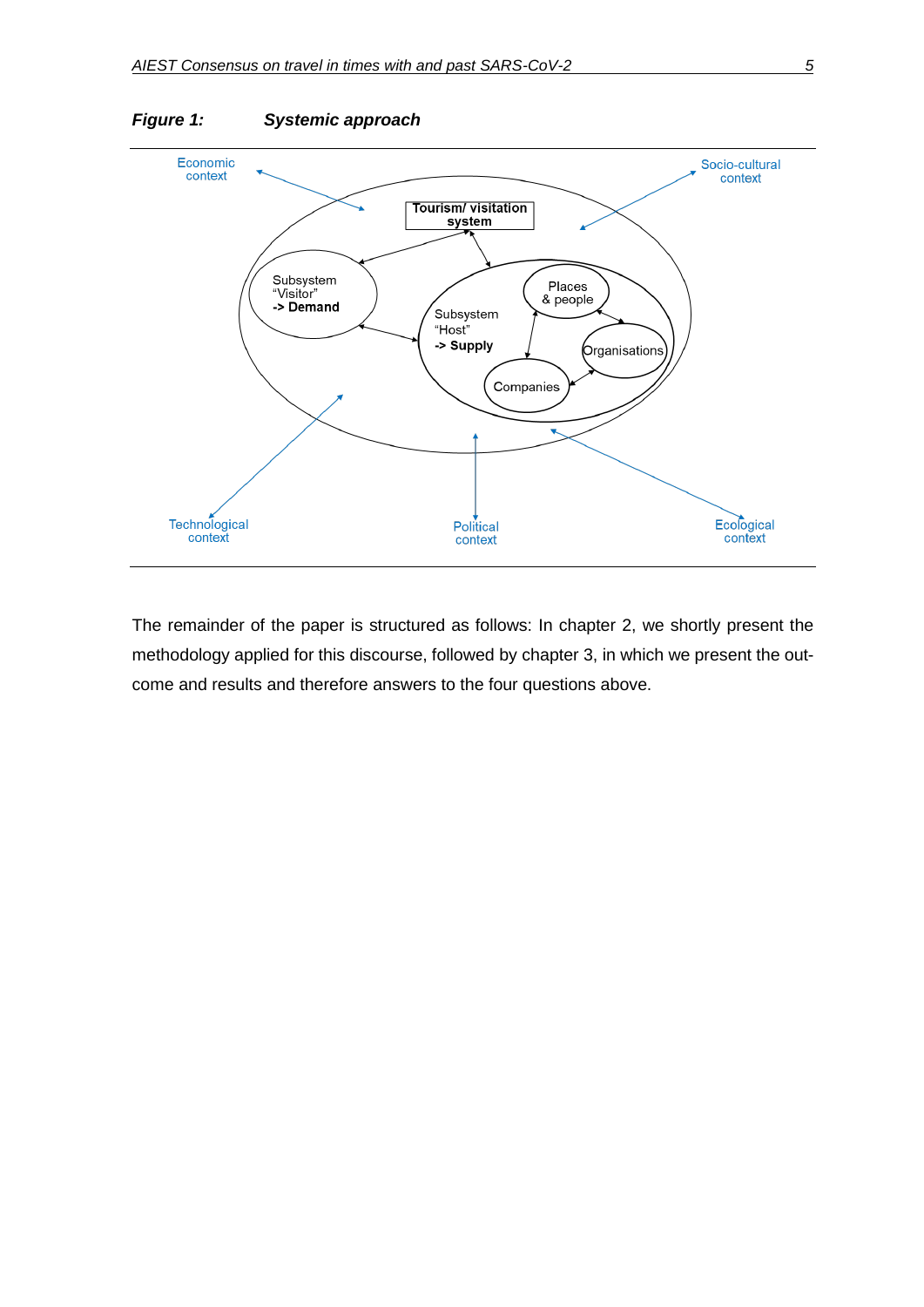

The remainder of the paper is structured as follows: In chapter 2, we shortly present the methodology applied for this discourse, followed by chapter 3, in which we present the outcome and results and therefore answers to the four questions above.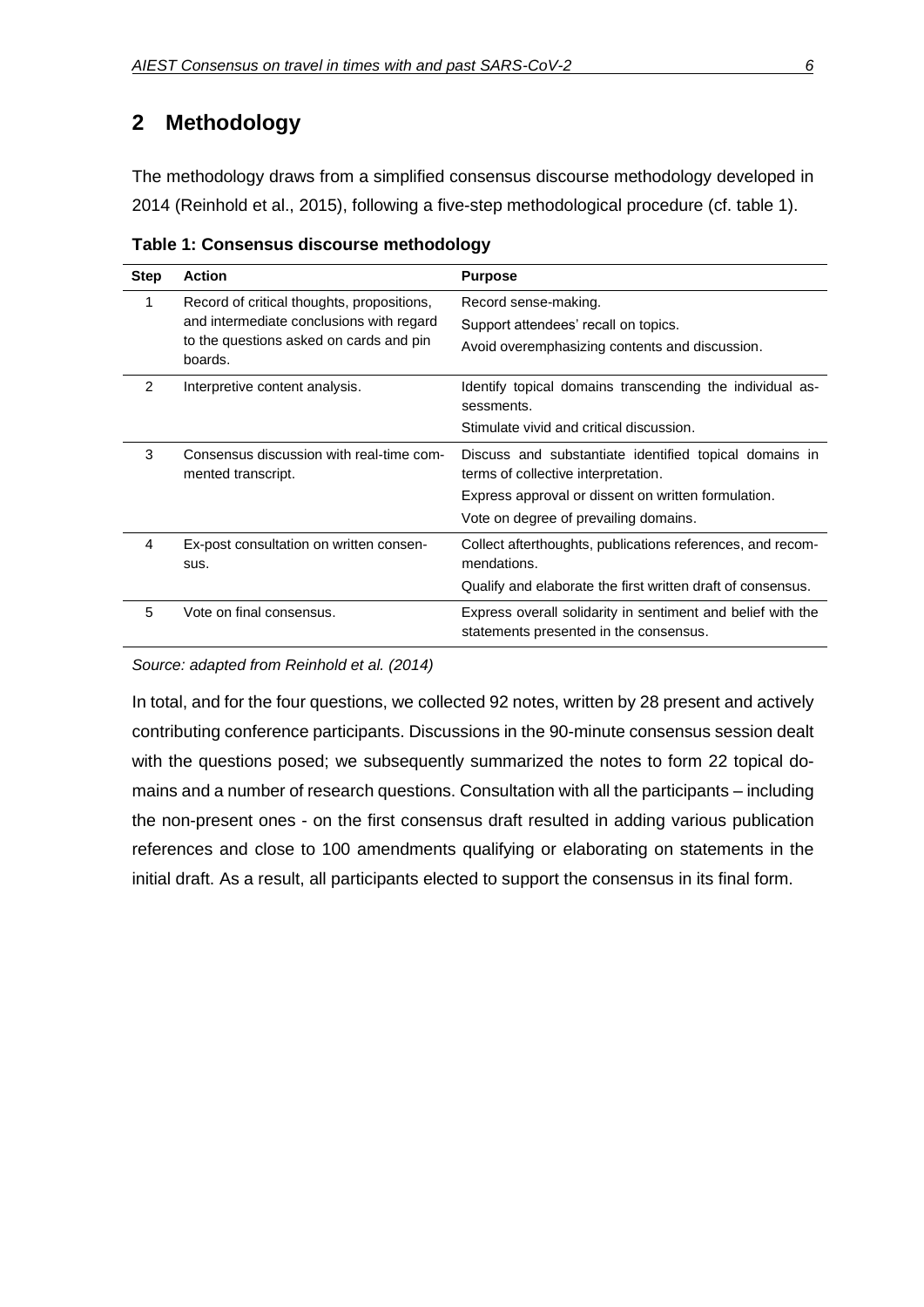# **2 Methodology**

The methodology draws from a simplified consensus discourse methodology developed in 2014 (Reinhold et al., 2015), following a five-step methodological procedure (cf. table 1).

| <b>Step</b>   | <b>Action</b>                                                  | <b>Purpose</b>                                                                                        |
|---------------|----------------------------------------------------------------|-------------------------------------------------------------------------------------------------------|
| 1             | Record of critical thoughts, propositions,                     | Record sense-making.                                                                                  |
|               | and intermediate conclusions with regard                       | Support attendees' recall on topics.                                                                  |
|               | to the questions asked on cards and pin<br>boards.             | Avoid overemphasizing contents and discussion.                                                        |
| $\mathcal{P}$ | Interpretive content analysis.                                 | Identify topical domains transcending the individual as-<br>sessments.                                |
|               |                                                                | Stimulate vivid and critical discussion.                                                              |
| 3             | Consensus discussion with real-time com-<br>mented transcript. | Discuss and substantiate identified topical domains in<br>terms of collective interpretation.         |
|               |                                                                | Express approval or dissent on written formulation.                                                   |
|               |                                                                | Vote on degree of prevailing domains.                                                                 |
| 4             | Ex-post consultation on written consen-                        | Collect afterthoughts, publications references, and recom-                                            |
|               | sus.                                                           | mendations.                                                                                           |
|               |                                                                | Qualify and elaborate the first written draft of consensus.                                           |
| 5             | Vote on final consensus.                                       | Express overall solidarity in sentiment and belief with the<br>statements presented in the consensus. |

**Table 1: Consensus discourse methodology**

*Source: adapted from Reinhold et al. (2014)*

In total, and for the four questions, we collected 92 notes, written by 28 present and actively contributing conference participants. Discussions in the 90-minute consensus session dealt with the questions posed; we subsequently summarized the notes to form 22 topical domains and a number of research questions. Consultation with all the participants – including the non-present ones - on the first consensus draft resulted in adding various publication references and close to 100 amendments qualifying or elaborating on statements in the initial draft. As a result, all participants elected to support the consensus in its final form.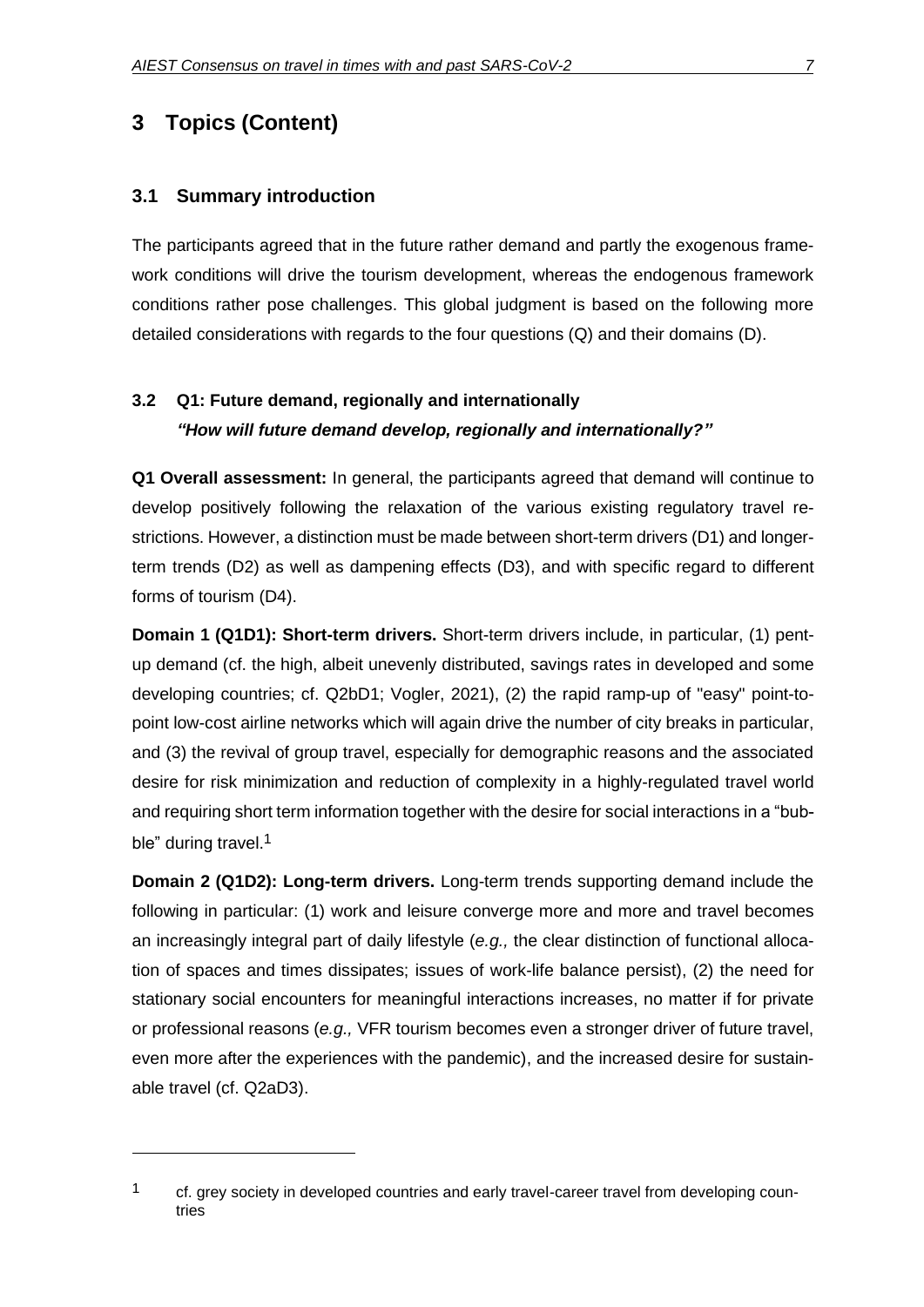# **3 Topics (Content)**

#### **3.1 Summary introduction**

The participants agreed that in the future rather demand and partly the exogenous framework conditions will drive the tourism development, whereas the endogenous framework conditions rather pose challenges. This global judgment is based on the following more detailed considerations with regards to the four questions (Q) and their domains (D).

## **3.2 Q1: Future demand, regionally and internationally** *"How will future demand develop, regionally and internationally?"*

**Q1 Overall assessment:** In general, the participants agreed that demand will continue to develop positively following the relaxation of the various existing regulatory travel restrictions. However, a distinction must be made between short-term drivers (D1) and longerterm trends (D2) as well as dampening effects (D3), and with specific regard to different forms of tourism (D4).

**Domain 1 (Q1D1): Short-term drivers.** Short-term drivers include, in particular, (1) pentup demand (cf. the high, albeit unevenly distributed, savings rates in developed and some developing countries; cf. Q2bD1; Vogler, 2021), (2) the rapid ramp-up of "easy" point-topoint low-cost airline networks which will again drive the number of city breaks in particular, and (3) the revival of group travel, especially for demographic reasons and the associated desire for risk minimization and reduction of complexity in a highly-regulated travel world and requiring short term information together with the desire for social interactions in a "bubble" during travel.<sup>1</sup>

**Domain 2 (Q1D2): Long-term drivers.** Long-term trends supporting demand include the following in particular: (1) work and leisure converge more and more and travel becomes an increasingly integral part of daily lifestyle (*e.g.,* the clear distinction of functional allocation of spaces and times dissipates; issues of work-life balance persist), (2) the need for stationary social encounters for meaningful interactions increases, no matter if for private or professional reasons (*e.g.,* VFR tourism becomes even a stronger driver of future travel, even more after the experiences with the pandemic), and the increased desire for sustainable travel (cf. Q2aD3).

<sup>&</sup>lt;sup>1</sup> cf. grey society in developed countries and early travel-career travel from developing countries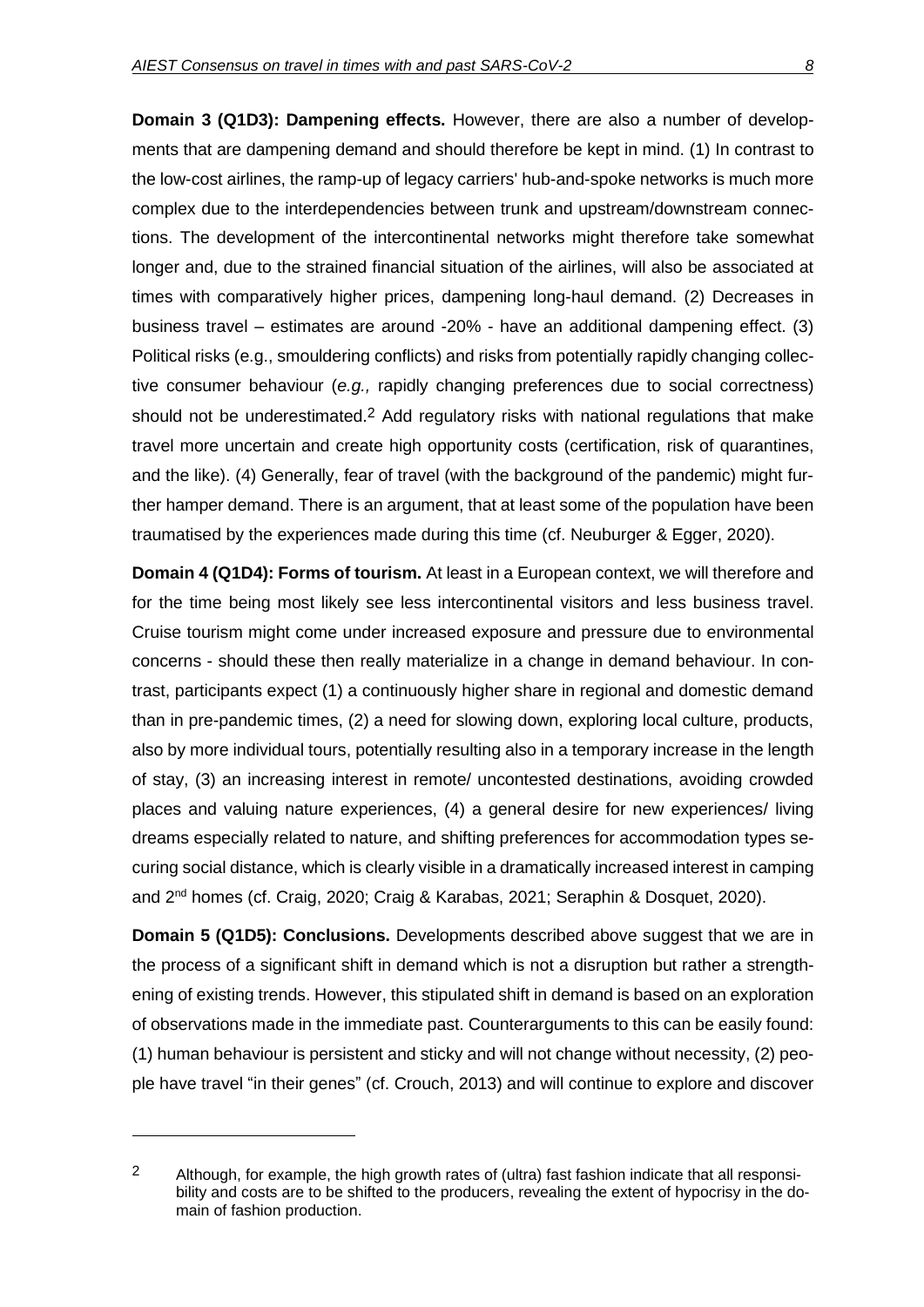**Domain 3 (Q1D3): Dampening effects.** However, there are also a number of developments that are dampening demand and should therefore be kept in mind. (1) In contrast to the low-cost airlines, the ramp-up of legacy carriers' hub-and-spoke networks is much more complex due to the interdependencies between trunk and upstream/downstream connections. The development of the intercontinental networks might therefore take somewhat longer and, due to the strained financial situation of the airlines, will also be associated at times with comparatively higher prices, dampening long-haul demand. (2) Decreases in business travel – estimates are around -20% - have an additional dampening effect. (3) Political risks (e.g., smouldering conflicts) and risks from potentially rapidly changing collective consumer behaviour (*e.g.,* rapidly changing preferences due to social correctness) should not be underestimated.<sup>2</sup> Add regulatory risks with national regulations that make travel more uncertain and create high opportunity costs (certification, risk of quarantines, and the like). (4) Generally, fear of travel (with the background of the pandemic) might further hamper demand. There is an argument, that at least some of the population have been traumatised by the experiences made during this time (cf. Neuburger & Egger, 2020).

**Domain 4 (Q1D4): Forms of tourism.** At least in a European context, we will therefore and for the time being most likely see less intercontinental visitors and less business travel. Cruise tourism might come under increased exposure and pressure due to environmental concerns - should these then really materialize in a change in demand behaviour. In contrast, participants expect (1) a continuously higher share in regional and domestic demand than in pre-pandemic times, (2) a need for slowing down, exploring local culture, products, also by more individual tours, potentially resulting also in a temporary increase in the length of stay, (3) an increasing interest in remote/ uncontested destinations, avoiding crowded places and valuing nature experiences, (4) a general desire for new experiences/ living dreams especially related to nature, and shifting preferences for accommodation types securing social distance, which is clearly visible in a dramatically increased interest in camping and 2nd homes (cf. Craig, 2020; Craig & Karabas, 2021; Seraphin & Dosquet, 2020).

**Domain 5 (Q1D5): Conclusions.** Developments described above suggest that we are in the process of a significant shift in demand which is not a disruption but rather a strengthening of existing trends. However, this stipulated shift in demand is based on an exploration of observations made in the immediate past. Counterarguments to this can be easily found: (1) human behaviour is persistent and sticky and will not change without necessity, (2) people have travel "in their genes" (cf. Crouch, 2013) and will continue to explore and discover

<sup>&</sup>lt;sup>2</sup> Although, for example, the high growth rates of (ultra) fast fashion indicate that all responsibility and costs are to be shifted to the producers, revealing the extent of hypocrisy in the domain of fashion production.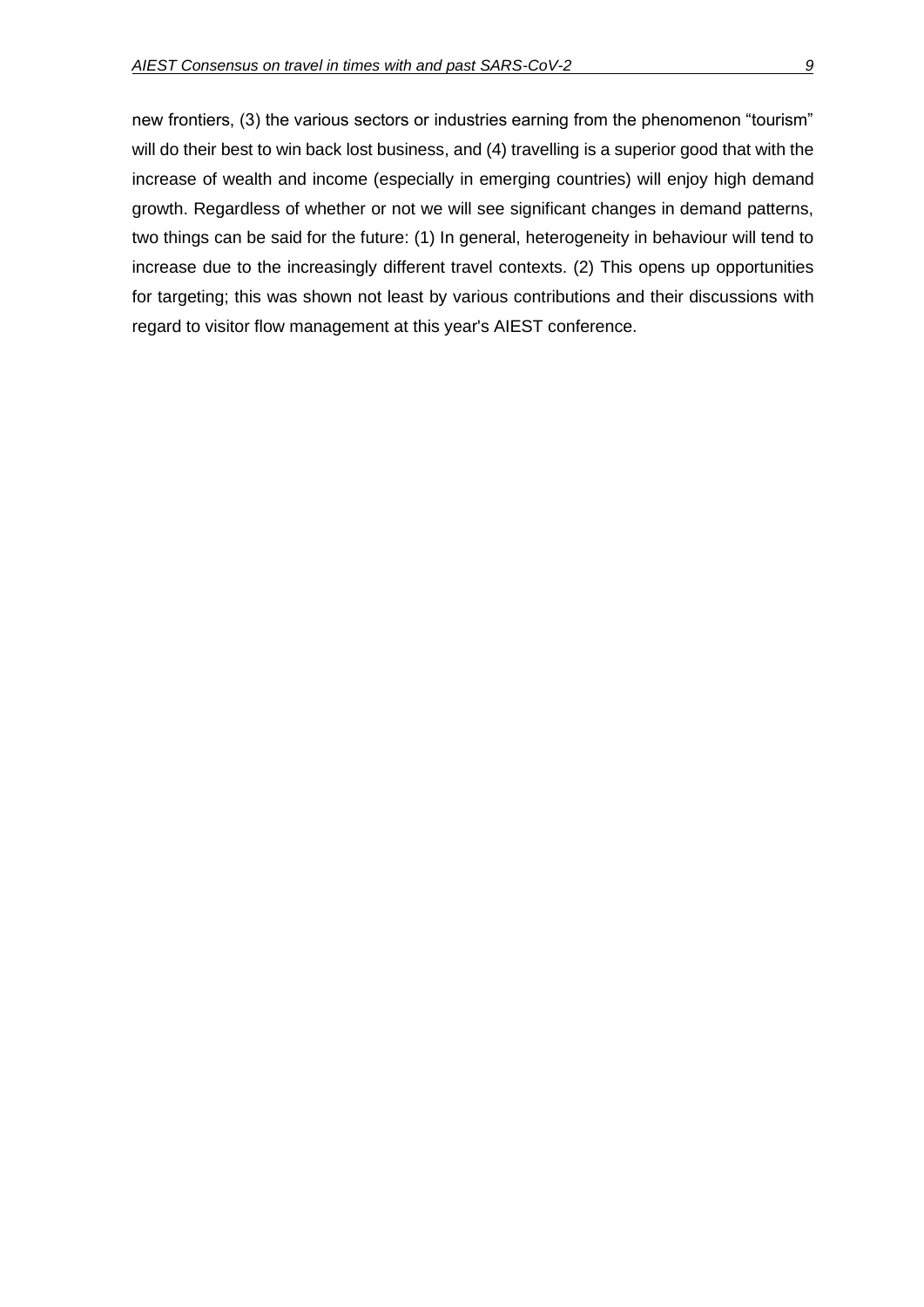new frontiers, (3) the various sectors or industries earning from the phenomenon "tourism" will do their best to win back lost business, and (4) travelling is a superior good that with the increase of wealth and income (especially in emerging countries) will enjoy high demand growth. Regardless of whether or not we will see significant changes in demand patterns, two things can be said for the future: (1) In general, heterogeneity in behaviour will tend to increase due to the increasingly different travel contexts. (2) This opens up opportunities for targeting; this was shown not least by various contributions and their discussions with regard to visitor flow management at this year's AIEST conference.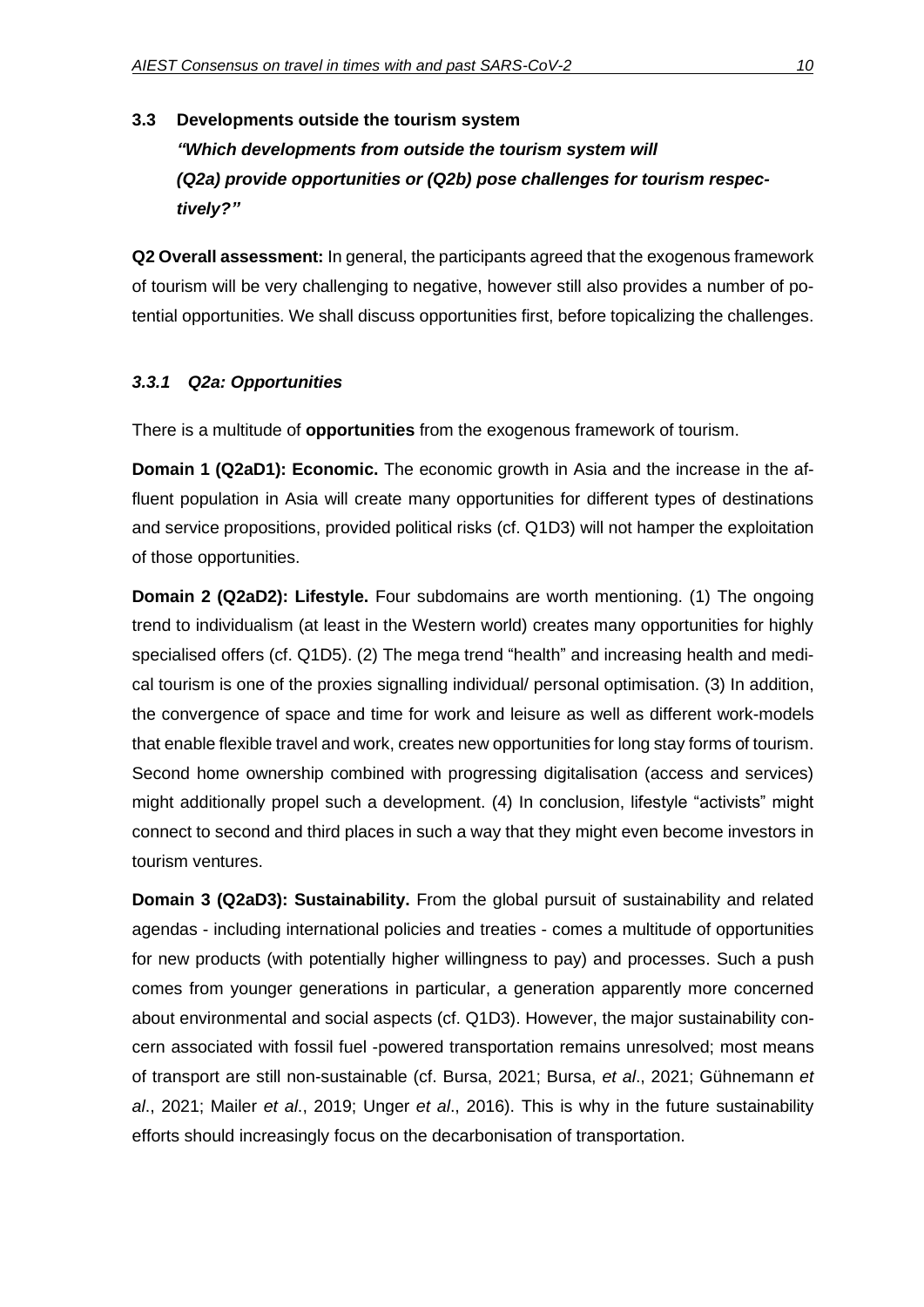### **3.3 Developments outside the tourism system**

*"Which developments from outside the tourism system will (Q2a) provide opportunities or (Q2b) pose challenges for tourism respectively?"*

**Q2 Overall assessment:** In general, the participants agreed that the exogenous framework of tourism will be very challenging to negative, however still also provides a number of potential opportunities. We shall discuss opportunities first, before topicalizing the challenges.

#### *3.3.1 Q2a: Opportunities*

There is a multitude of **opportunities** from the exogenous framework of tourism.

**Domain 1 (Q2aD1): Economic.** The economic growth in Asia and the increase in the affluent population in Asia will create many opportunities for different types of destinations and service propositions, provided political risks (cf. Q1D3) will not hamper the exploitation of those opportunities.

**Domain 2 (Q2aD2): Lifestyle.** Four subdomains are worth mentioning. (1) The ongoing trend to individualism (at least in the Western world) creates many opportunities for highly specialised offers (cf. Q1D5). (2) The mega trend "health" and increasing health and medical tourism is one of the proxies signalling individual/ personal optimisation. (3) In addition, the convergence of space and time for work and leisure as well as different work-models that enable flexible travel and work, creates new opportunities for long stay forms of tourism. Second home ownership combined with progressing digitalisation (access and services) might additionally propel such a development. (4) In conclusion, lifestyle "activists" might connect to second and third places in such a way that they might even become investors in tourism ventures.

**Domain 3 (Q2aD3): Sustainability.** From the global pursuit of sustainability and related agendas - including international policies and treaties - comes a multitude of opportunities for new products (with potentially higher willingness to pay) and processes. Such a push comes from younger generations in particular, a generation apparently more concerned about environmental and social aspects (cf. Q1D3). However, the major sustainability concern associated with fossil fuel -powered transportation remains unresolved; most means of transport are still non-sustainable (cf. Bursa, 2021; Bursa, *et al*., 2021; Gühnemann *et al*., 2021; Mailer *et al*., 2019; Unger *et al*., 2016). This is why in the future sustainability efforts should increasingly focus on the decarbonisation of transportation.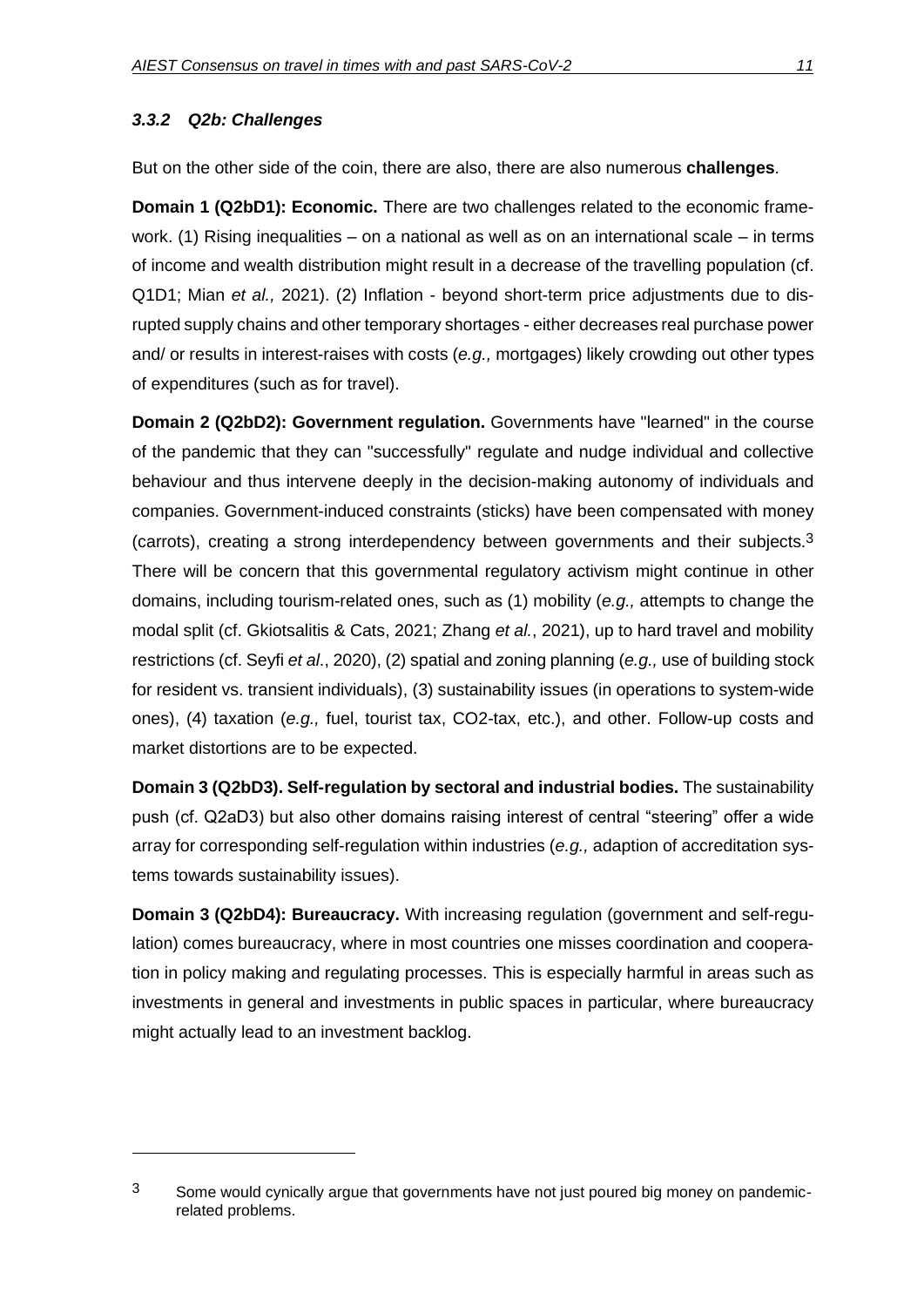#### *3.3.2 Q2b: Challenges*

But on the other side of the coin, there are also, there are also numerous **challenges**.

**Domain 1 (Q2bD1): Economic.** There are two challenges related to the economic framework. (1) Rising inequalities – on a national as well as on an international scale – in terms of income and wealth distribution might result in a decrease of the travelling population (cf. Q1D1; Mian *et al.,* 2021). (2) Inflation - beyond short-term price adjustments due to disrupted supply chains and other temporary shortages - either decreases real purchase power and/ or results in interest-raises with costs (*e.g.,* mortgages) likely crowding out other types of expenditures (such as for travel).

**Domain 2 (Q2bD2): Government regulation.** Governments have "learned" in the course of the pandemic that they can "successfully" regulate and nudge individual and collective behaviour and thus intervene deeply in the decision-making autonomy of individuals and companies. Government-induced constraints (sticks) have been compensated with money (carrots), creating a strong interdependency between governments and their subjects. $3$ There will be concern that this governmental regulatory activism might continue in other domains, including tourism-related ones, such as (1) mobility (*e.g.,* attempts to change the modal split (cf. Gkiotsalitis & Cats, 2021; Zhang *et al.*, 2021), up to hard travel and mobility restrictions (cf. Seyfi *et al*., 2020), (2) spatial and zoning planning (*e.g.,* use of building stock for resident vs. transient individuals), (3) sustainability issues (in operations to system-wide ones), (4) taxation (*e.g.,* fuel, tourist tax, CO2-tax, etc.), and other. Follow-up costs and market distortions are to be expected.

**Domain 3 (Q2bD3). Self-regulation by sectoral and industrial bodies.** The sustainability push (cf. Q2aD3) but also other domains raising interest of central "steering" offer a wide array for corresponding self-regulation within industries (*e.g.,* adaption of accreditation systems towards sustainability issues).

**Domain 3 (Q2bD4): Bureaucracy.** With increasing regulation (government and self-regulation) comes bureaucracy, where in most countries one misses coordination and cooperation in policy making and regulating processes. This is especially harmful in areas such as investments in general and investments in public spaces in particular, where bureaucracy might actually lead to an investment backlog.

<sup>&</sup>lt;sup>3</sup> Some would cynically argue that governments have not just poured big money on pandemicrelated problems.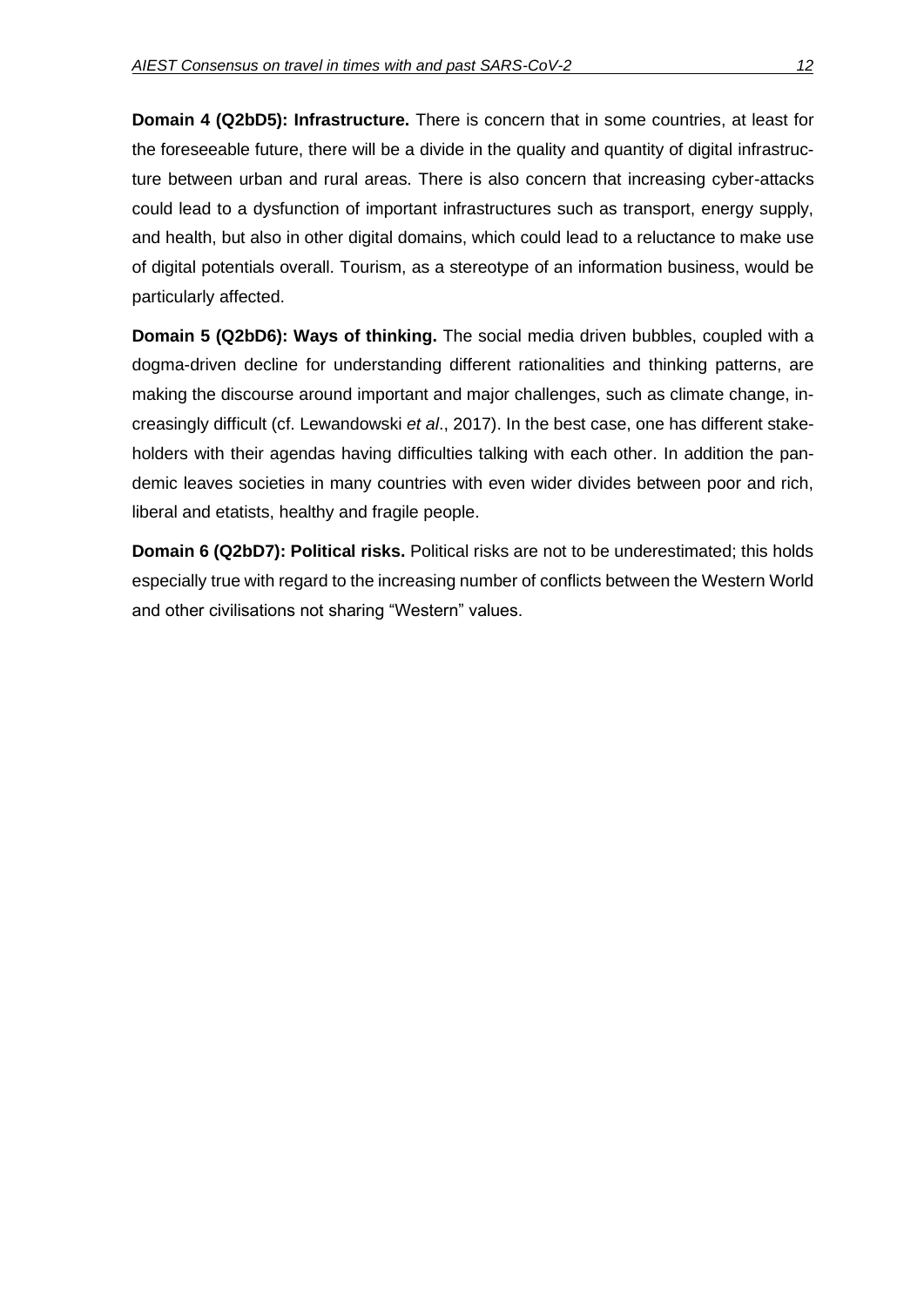**Domain 4 (Q2bD5): Infrastructure.** There is concern that in some countries, at least for the foreseeable future, there will be a divide in the quality and quantity of digital infrastructure between urban and rural areas. There is also concern that increasing cyber-attacks could lead to a dysfunction of important infrastructures such as transport, energy supply, and health, but also in other digital domains, which could lead to a reluctance to make use of digital potentials overall. Tourism, as a stereotype of an information business, would be particularly affected.

**Domain 5 (Q2bD6): Ways of thinking.** The social media driven bubbles, coupled with a dogma-driven decline for understanding different rationalities and thinking patterns, are making the discourse around important and major challenges, such as climate change, increasingly difficult (cf. Lewandowski *et al*., 2017). In the best case, one has different stakeholders with their agendas having difficulties talking with each other. In addition the pandemic leaves societies in many countries with even wider divides between poor and rich, liberal and etatists, healthy and fragile people.

**Domain 6 (Q2bD7): Political risks.** Political risks are not to be underestimated; this holds especially true with regard to the increasing number of conflicts between the Western World and other civilisations not sharing "Western" values.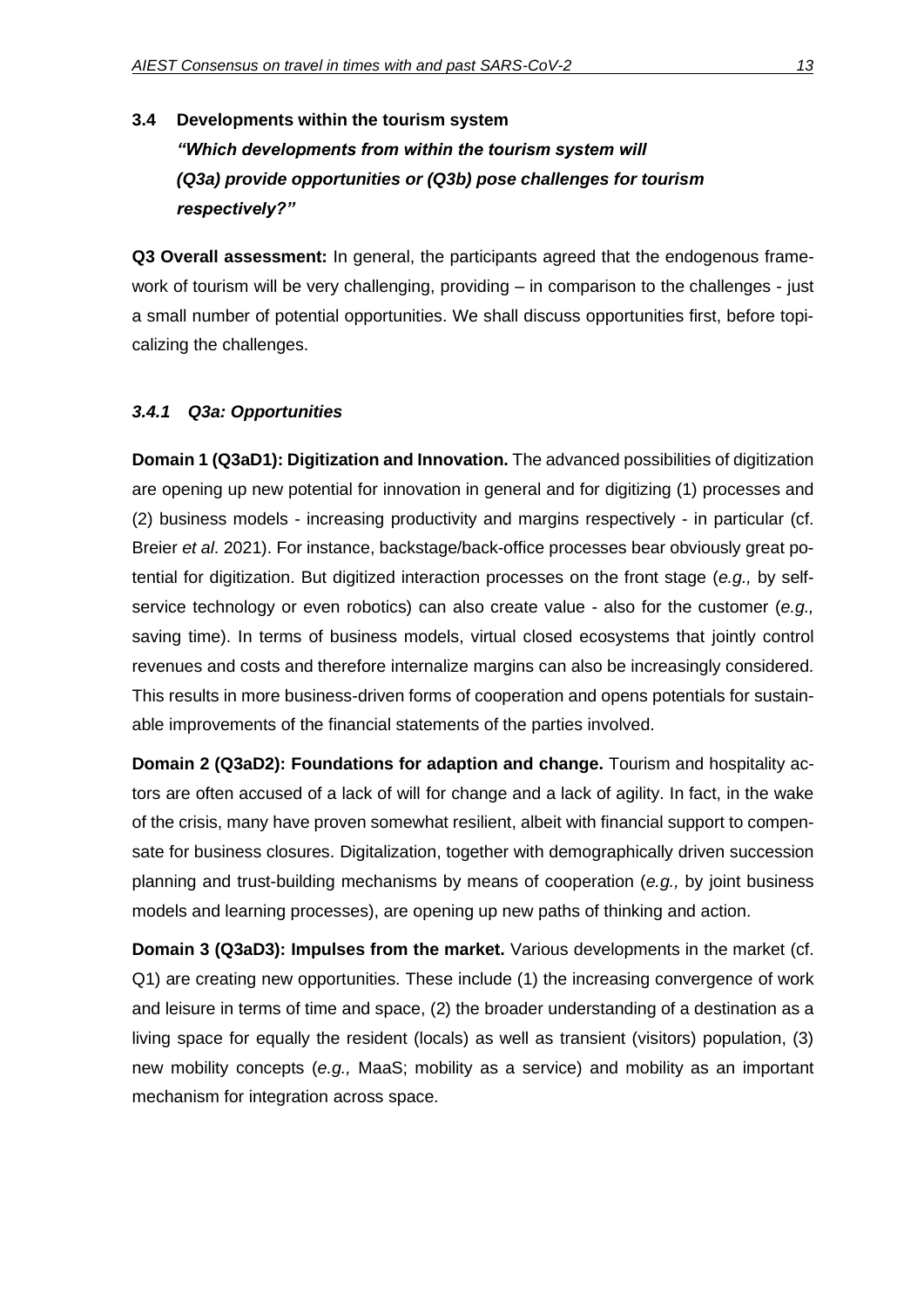# **3.4 Developments within the tourism system** *"Which developments from within the tourism system will (Q3a) provide opportunities or (Q3b) pose challenges for tourism respectively?"*

**Q3 Overall assessment:** In general, the participants agreed that the endogenous framework of tourism will be very challenging, providing – in comparison to the challenges - just a small number of potential opportunities. We shall discuss opportunities first, before topicalizing the challenges.

#### *3.4.1 Q3a: Opportunities*

**Domain 1 (Q3aD1): Digitization and Innovation.** The advanced possibilities of digitization are opening up new potential for innovation in general and for digitizing (1) processes and (2) business models - increasing productivity and margins respectively - in particular (cf. Breier *et al*. 2021). For instance, backstage/back-office processes bear obviously great potential for digitization. But digitized interaction processes on the front stage (*e.g.,* by selfservice technology or even robotics) can also create value - also for the customer (*e.g.,* saving time). In terms of business models, virtual closed ecosystems that jointly control revenues and costs and therefore internalize margins can also be increasingly considered. This results in more business-driven forms of cooperation and opens potentials for sustainable improvements of the financial statements of the parties involved.

**Domain 2 (Q3aD2): Foundations for adaption and change.** Tourism and hospitality actors are often accused of a lack of will for change and a lack of agility. In fact, in the wake of the crisis, many have proven somewhat resilient, albeit with financial support to compensate for business closures. Digitalization, together with demographically driven succession planning and trust-building mechanisms by means of cooperation (*e.g.,* by joint business models and learning processes), are opening up new paths of thinking and action.

**Domain 3 (Q3aD3): Impulses from the market.** Various developments in the market (cf. Q1) are creating new opportunities. These include (1) the increasing convergence of work and leisure in terms of time and space, (2) the broader understanding of a destination as a living space for equally the resident (locals) as well as transient (visitors) population, (3) new mobility concepts (*e.g.,* MaaS; mobility as a service) and mobility as an important mechanism for integration across space.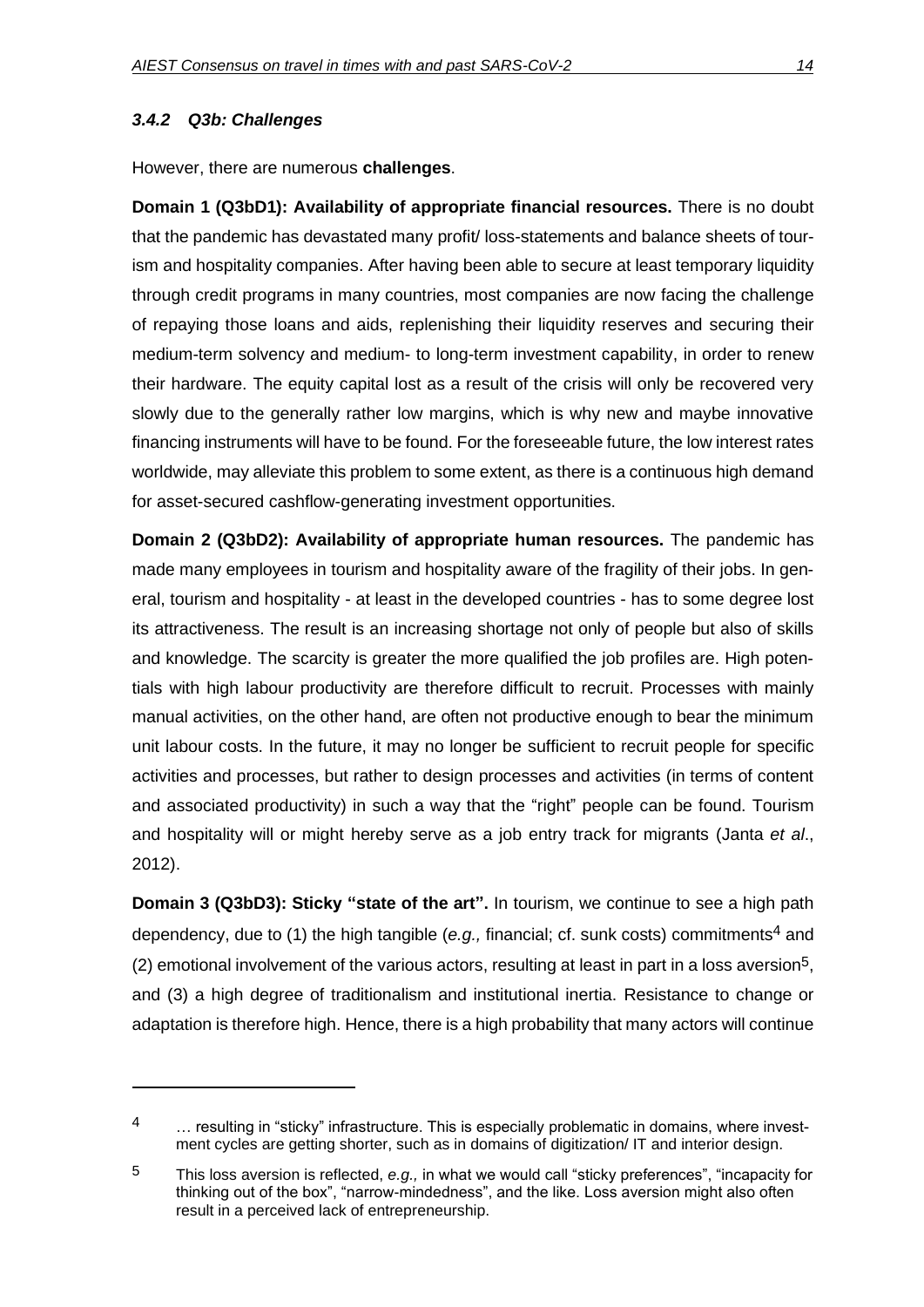### *3.4.2 Q3b: Challenges*

However, there are numerous **challenges**.

**Domain 1 (Q3bD1): Availability of appropriate financial resources.** There is no doubt that the pandemic has devastated many profit/ loss-statements and balance sheets of tourism and hospitality companies. After having been able to secure at least temporary liquidity through credit programs in many countries, most companies are now facing the challenge of repaying those loans and aids, replenishing their liquidity reserves and securing their medium-term solvency and medium- to long-term investment capability, in order to renew their hardware. The equity capital lost as a result of the crisis will only be recovered very slowly due to the generally rather low margins, which is why new and maybe innovative financing instruments will have to be found. For the foreseeable future, the low interest rates worldwide, may alleviate this problem to some extent, as there is a continuous high demand for asset-secured cashflow-generating investment opportunities.

**Domain 2 (Q3bD2): Availability of appropriate human resources.** The pandemic has made many employees in tourism and hospitality aware of the fragility of their jobs. In general, tourism and hospitality - at least in the developed countries - has to some degree lost its attractiveness. The result is an increasing shortage not only of people but also of skills and knowledge. The scarcity is greater the more qualified the job profiles are. High potentials with high labour productivity are therefore difficult to recruit. Processes with mainly manual activities, on the other hand, are often not productive enough to bear the minimum unit labour costs. In the future, it may no longer be sufficient to recruit people for specific activities and processes, but rather to design processes and activities (in terms of content and associated productivity) in such a way that the "right" people can be found. Tourism and hospitality will or might hereby serve as a job entry track for migrants (Janta *et al*., 2012).

**Domain 3 (Q3bD3): Sticky "state of the art".** In tourism, we continue to see a high path dependency, due to (1) the high tangible (e.g., financial; cf. sunk costs) commitments<sup>4</sup> and  $(2)$  emotional involvement of the various actors, resulting at least in part in a loss aversion<sup>5</sup>, and (3) a high degree of traditionalism and institutional inertia. Resistance to change or adaptation is therefore high. Hence, there is a high probability that many actors will continue

<sup>4 ...</sup> resulting in "sticky" infrastructure. This is especially problematic in domains, where investment cycles are getting shorter, such as in domains of digitization/ IT and interior design.

<sup>5</sup> This loss aversion is reflected, *e.g.,* in what we would call "sticky preferences", "incapacity for thinking out of the box", "narrow-mindedness", and the like. Loss aversion might also often result in a perceived lack of entrepreneurship.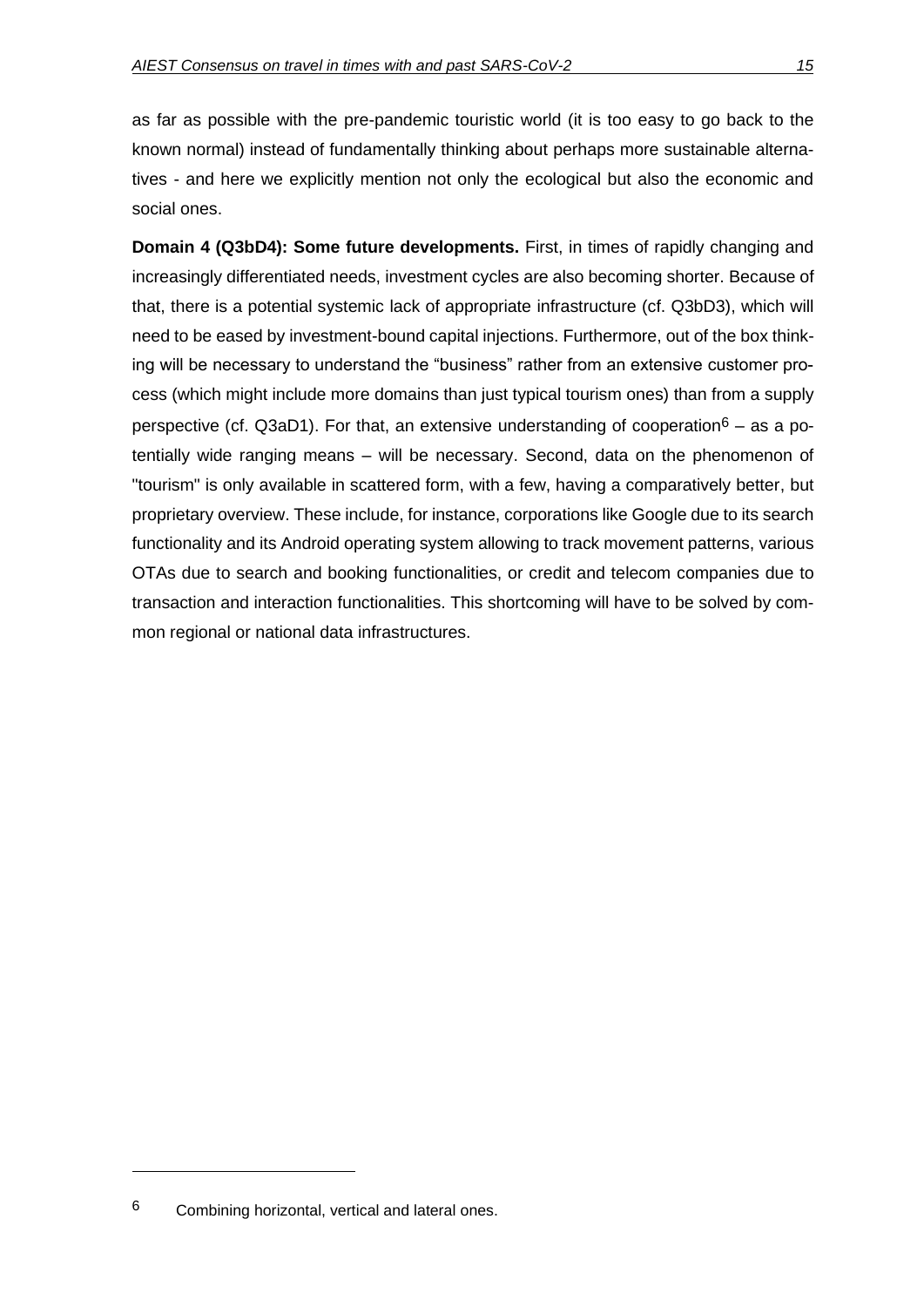as far as possible with the pre-pandemic touristic world (it is too easy to go back to the known normal) instead of fundamentally thinking about perhaps more sustainable alternatives - and here we explicitly mention not only the ecological but also the economic and social ones.

**Domain 4 (Q3bD4): Some future developments.** First, in times of rapidly changing and increasingly differentiated needs, investment cycles are also becoming shorter. Because of that, there is a potential systemic lack of appropriate infrastructure (cf. Q3bD3), which will need to be eased by investment-bound capital injections. Furthermore, out of the box thinking will be necessary to understand the "business" rather from an extensive customer process (which might include more domains than just typical tourism ones) than from a supply perspective (cf. Q3aD1). For that, an extensive understanding of cooperation<sup>6</sup> – as a potentially wide ranging means – will be necessary. Second, data on the phenomenon of "tourism" is only available in scattered form, with a few, having a comparatively better, but proprietary overview. These include, for instance, corporations like Google due to its search functionality and its Android operating system allowing to track movement patterns, various OTAs due to search and booking functionalities, or credit and telecom companies due to transaction and interaction functionalities. This shortcoming will have to be solved by common regional or national data infrastructures.

<sup>6</sup> Combining horizontal, vertical and lateral ones.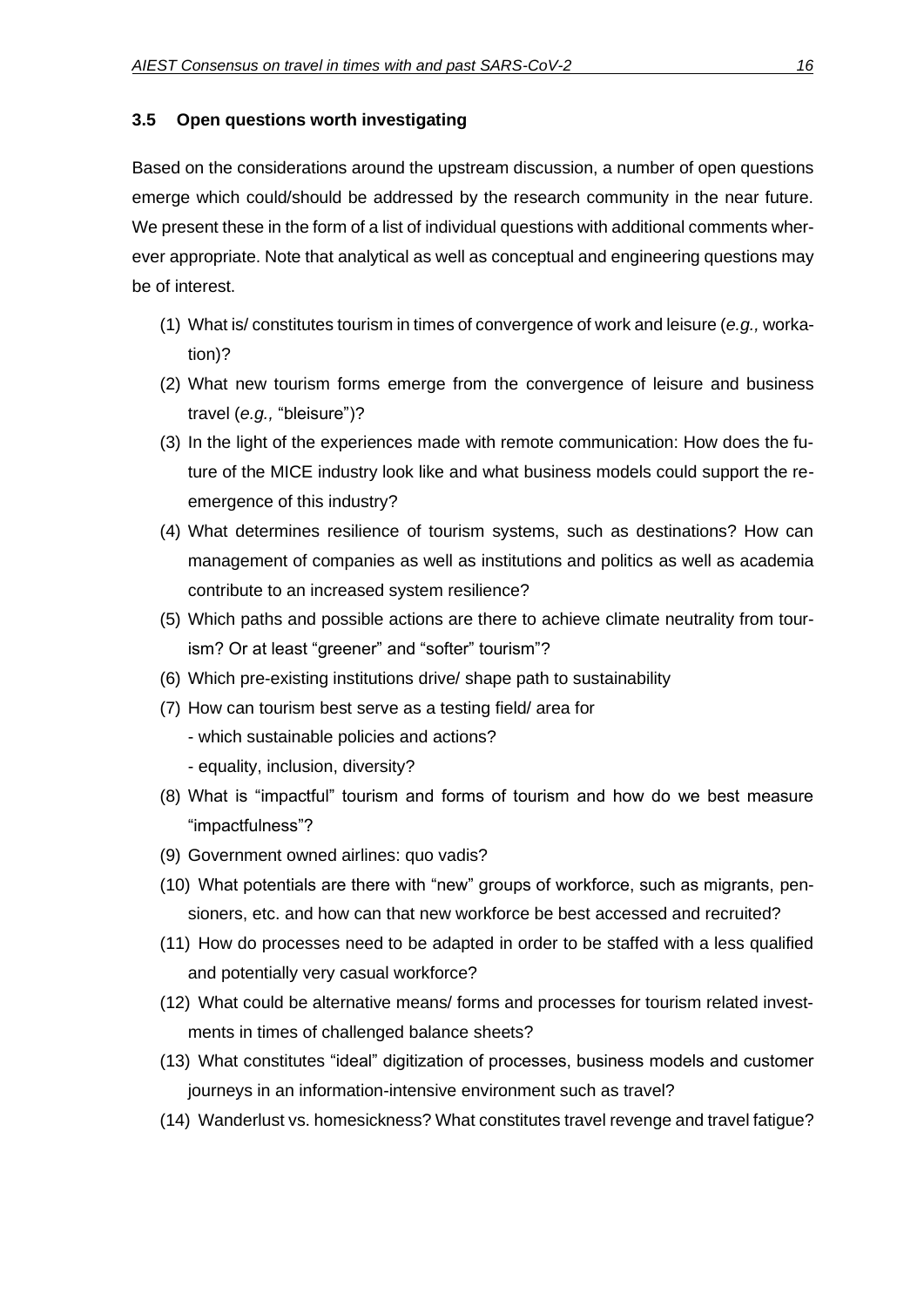#### **3.5 Open questions worth investigating**

Based on the considerations around the upstream discussion, a number of open questions emerge which could/should be addressed by the research community in the near future. We present these in the form of a list of individual questions with additional comments wherever appropriate. Note that analytical as well as conceptual and engineering questions may be of interest.

- (1) What is/ constitutes tourism in times of convergence of work and leisure (*e.g.,* workation)?
- (2) What new tourism forms emerge from the convergence of leisure and business travel (*e.g.,* "bleisure")?
- (3) In the light of the experiences made with remote communication: How does the future of the MICE industry look like and what business models could support the reemergence of this industry?
- (4) What determines resilience of tourism systems, such as destinations? How can management of companies as well as institutions and politics as well as academia contribute to an increased system resilience?
- (5) Which paths and possible actions are there to achieve climate neutrality from tourism? Or at least "greener" and "softer" tourism"?
- (6) Which pre-existing institutions drive/ shape path to sustainability
- (7) How can tourism best serve as a testing field/ area for
	- which sustainable policies and actions?
	- equality, inclusion, diversity?
- (8) What is "impactful" tourism and forms of tourism and how do we best measure "impactfulness"?
- (9) Government owned airlines: quo vadis?
- (10) What potentials are there with "new" groups of workforce, such as migrants, pensioners, etc. and how can that new workforce be best accessed and recruited?
- (11) How do processes need to be adapted in order to be staffed with a less qualified and potentially very casual workforce?
- (12) What could be alternative means/ forms and processes for tourism related investments in times of challenged balance sheets?
- (13) What constitutes "ideal" digitization of processes, business models and customer journeys in an information-intensive environment such as travel?
- (14) Wanderlust vs. homesickness? What constitutes travel revenge and travel fatigue?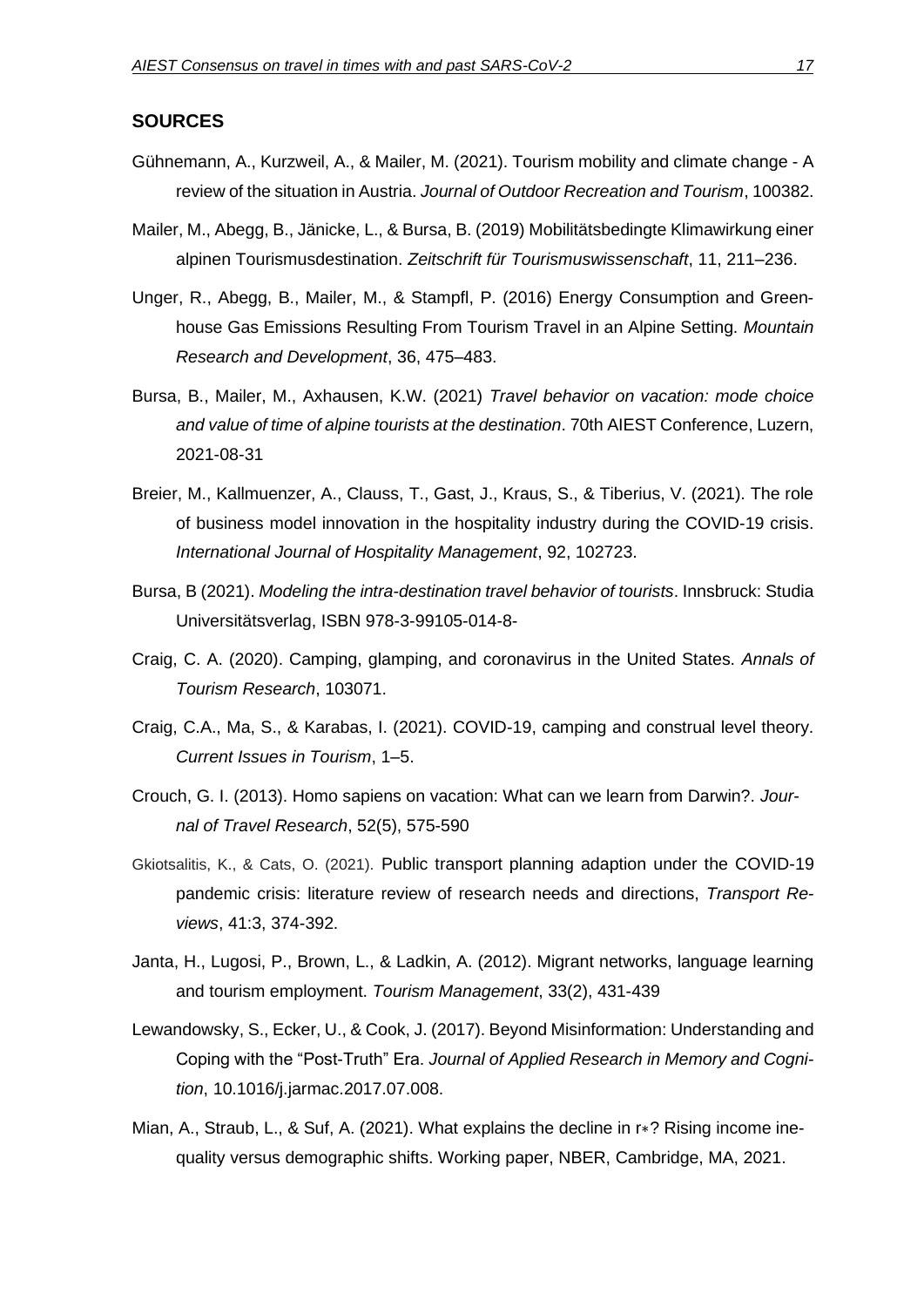#### **SOURCES**

- Gühnemann, A., Kurzweil, A., & Mailer, M. (2021). Tourism mobility and climate change A review of the situation in Austria. *Journal of Outdoor Recreation and Tourism*, 100382.
- Mailer, M., Abegg, B., Jänicke, L., & Bursa, B. (2019) Mobilitätsbedingte Klimawirkung einer alpinen Tourismusdestination. *Zeitschrift für Tourismuswissenschaft*, 11, 211–236.
- Unger, R., Abegg, B., Mailer, M., & Stampfl, P. (2016) Energy Consumption and Greenhouse Gas Emissions Resulting From Tourism Travel in an Alpine Setting. *Mountain Research and Development*, 36, 475–483.
- Bursa, B., Mailer, M., Axhausen, K.W. (2021) *Travel behavior on vacation: mode choice and value of time of alpine tourists at the destination*. 70th AIEST Conference, Luzern, 2021-08-31
- Breier, M., Kallmuenzer, A., Clauss, T., Gast, J., Kraus, S., & Tiberius, V. (2021). The role of business model innovation in the hospitality industry during the COVID-19 crisis. *International Journal of Hospitality Management*, 92, 102723.
- Bursa, B (2021). *Modeling the intra-destination travel behavior of tourists*. Innsbruck: Studia Universitätsverlag, ISBN 978-3-99105-014-8-
- Craig, C. A. (2020). Camping, glamping, and coronavirus in the United States. *Annals of Tourism Research*, 103071.
- Craig, C.A., Ma, S., & Karabas, I. (2021). COVID-19, camping and construal level theory. *Current Issues in Tourism*, 1–5.
- Crouch, G. I. (2013). Homo sapiens on vacation: What can we learn from Darwin?. *Journal of Travel Research*, 52(5), 575-590
- Gkiotsalitis, K., & Cats, O. (2021). Public transport planning adaption under the COVID-19 pandemic crisis: literature review of research needs and directions, *Transport Reviews*, 41:3, 374-392.
- Janta, H., Lugosi, P., Brown, L., & Ladkin, A. (2012). Migrant networks, language learning and tourism employment. *Tourism Management*, 33(2), 431-439
- Lewandowsky, S., Ecker, U., & Cook, J. (2017). Beyond Misinformation: Understanding and Coping with the "Post-Truth" Era. *Journal of Applied Research in Memory and Cognition*, 10.1016/j.jarmac.2017.07.008.
- Mian, A., Straub, L., & Suf, A. (2021). What explains the decline in r∗? Rising income inequality versus demographic shifts. Working paper, NBER, Cambridge, MA, 2021.